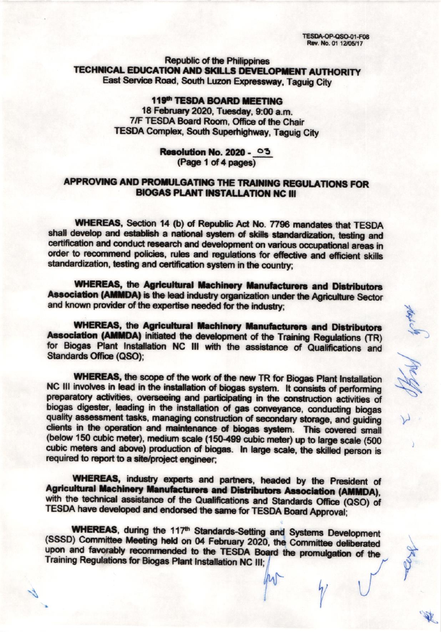**TESDA-OP-QSO-01-F08** Rev. No. 01 12/05/17

**Republic of the Philippines** TECHNICAL EDUCATION AND SKILLS DEVELOPMENT AUTHORITY East Service Road, South Luzon Expressway, Taguig City

> 119th TESDA BOARD MEETING 18 February 2020, Tuesday, 9:00 a.m. 7/F TESDA Board Room, Office of the Chair **TESDA Complex, South Superhighway, Taguig City**

#### **Resolution No. 2020 - 03** (Page 1 of 4 pages)

## APPROVING AND PROMULGATING THE TRAINING REGULATIONS FOR **BIOGAS PLANT INSTALLATION NC III**

WHEREAS, Section 14 (b) of Republic Act No. 7796 mandates that TESDA shall develop and establish a national system of skills standardization, testing and certification and conduct research and development on various occupational areas in order to recommend policies, rules and regulations for effective and efficient skills standardization, testing and certification system in the country;

**WHEREAS, the Agricultural Machinery Manufacturers and Distributors** Association (AMMDA) is the lead industry organization under the Agriculture Sector and known provider of the expertise needed for the industry;

**WHEREAS, the Agricultural Machinery Manufacturers and Distributors** Association (AMMDA) initiated the development of the Training Regulations (TR) for Biogas Plant Installation NC III with the assistance of Qualifications and **Standards Office (QSO):** 

WHEREAS, the scope of the work of the new TR for Biogas Plant Installation NC III involves in lead in the installation of biogas system. It consists of performing preparatory activities, overseeing and participating in the construction activities of biogas digester, leading in the installation of gas conveyance, conducting biogas quality assessment tasks, managing construction of secondary storage, and guiding clients in the operation and maintenance of biogas system. This covered small (below 150 cubic meter), medium scale (150-499 cubic meter) up to large scale (500 cubic meters and above) production of biogas. In large scale, the skilled person is required to report to a site/project engineer;

WHEREAS, industry experts and partners, headed by the President of **Agricultural Machinery Manufacturers and Distributors Association (AMMDA).** with the technical assistance of the Qualifications and Standards Office (QSO) of TESDA have developed and endorsed the same for TESDA Board Approval;

**WHEREAS, during the 117th Standards-Setting and Systems Development** (SSSD) Committee Meeting held on 04 February 2020, the Committee deliberated upon and favorably recommended to the TESDA Board the promulgation of the Training Regulations for Biogas Plant Installation NC III;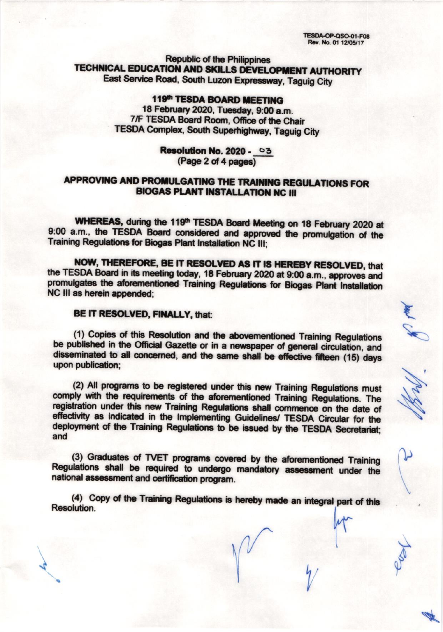**TESDA-OP-QSO-01-F08** Rev. No. 01 12/05/17

**Republic of the Philippines** TECHNICAL EDUCATION AND SKILLS DEVELOPMENT AUTHORITY East Service Road, South Luzon Expressway, Taguig City

> 119th TESDA BOARD MEETING 18 February 2020, Tuesday, 9:00 a.m. 7/F TESDA Board Room, Office of the Chair **TESDA Complex, South Superhighway, Taguig City**

### Resolution No. 2020 - 03 (Page 2 of 4 pages)

# APPROVING AND PROMULGATING THE TRAINING REGULATIONS FOR **BIOGAS PLANT INSTALLATION NC III**

WHEREAS, during the 119th TESDA Board Meeting on 18 February 2020 at 9:00 a.m., the TESDA Board considered and approved the promulgation of the Training Regulations for Biogas Plant Installation NC III;

NOW, THEREFORE, BE IT RESOLVED AS IT IS HEREBY RESOLVED, that the TESDA Board in its meeting today, 18 February 2020 at 9:00 a.m., approves and promulgates the aforementioned Training Regulations for Biogas Plant Installation NC III as herein appended:

## BE IT RESOLVED, FINALLY, that:

(1) Copies of this Resolution and the abovementioned Training Regulations be published in the Official Gazette or in a newspaper of general circulation, and disseminated to all concerned, and the same shall be effective fifteen (15) days upon publication;

(2) All programs to be registered under this new Training Regulations must comply with the requirements of the aforementioned Training Regulations. The registration under this new Training Regulations shall commence on the date of effectivity as indicated in the Implementing Guidelines/ TESDA Circular for the deployment of the Training Regulations to be issued by the TESDA Secretariat; and

(3) Graduates of TVET programs covered by the aforementioned Training Regulations shall be required to undergo mandatory assessment under the national assessment and certification program.

(4) Copy of the Training Regulations is hereby made an integral part of this **Resolution**